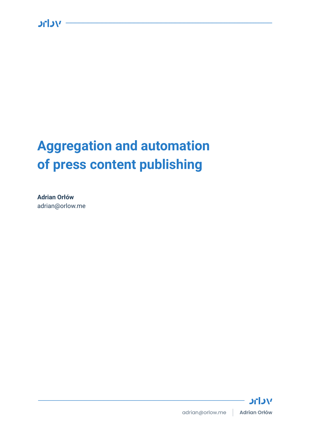# **Aggregation and automation of press content publishing**

**Adrian Orłów** adrian@orlow.me

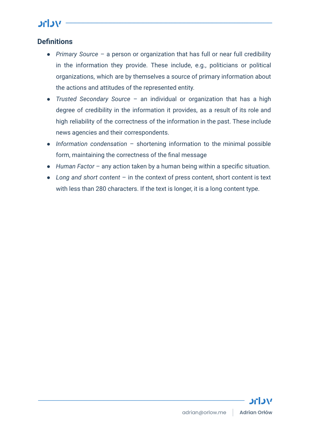### **Definitions**

- *Primary Source* a person or organization that has full or near full credibility in the information they provide. These include, e.g., politicians or political organizations, which are by themselves a source of primary information about the actions and attitudes of the represented entity.
- *Trusted Secondary Source* an individual or organization that has a high degree of credibility in the information it provides, as a result of its role and high reliability of the correctness of the information in the past. These include news agencies and their correspondents.
- *Information condensation* shortening information to the minimal possible form, maintaining the correctness of the final message
- *Human Factor* any action taken by a human being within a specific situation.
- *Long and short content* in the context of press content, short content is text with less than 280 characters. If the text is longer, it is a long content type.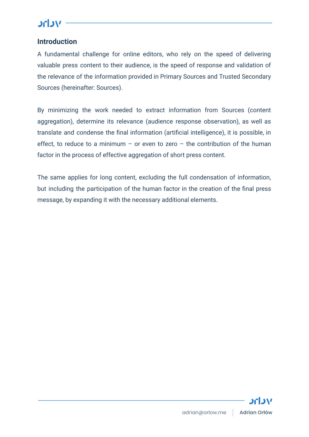### **Introduction**

A fundamental challenge for online editors, who rely on the speed of delivering valuable press content to their audience, is the speed of response and validation of the relevance of the information provided in Primary Sources and Trusted Secondary Sources (hereinafter: Sources).

By minimizing the work needed to extract information from Sources (content aggregation), determine its relevance (audience response observation), as well as translate and condense the final information (artificial intelligence), it is possible, in effect, to reduce to a minimum – or even to zero – the contribution of the human factor in the process of effective aggregation of short press content.

The same applies for long content, excluding the full condensation of information, but including the participation of the human factor in the creation of the final press message, by expanding it with the necessary additional elements.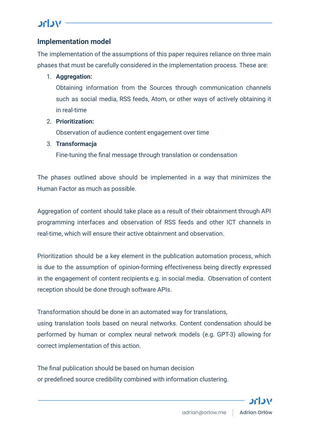# יונ

### **Implementation model**

The implementation of the assumptions of this paper requires reliance on three main phases that must be carefully considered in the implementation process. These are:

#### 1. **Aggregation:**

Obtaining information from the Sources through communication channels such as social media, RSS feeds, Atom, or other ways of actively obtaining it in real-time

#### 2. **Prioritization:**

Observation of audience content engagement over time

#### 3. **Transformacja**

Fine-tuning the final message through translation or condensation

The phases outlined above should be implemented in a way that minimizes the Human Factor as much as possible.

Aggregation of content should take place as a result of their obtainment through API programming interfaces and observation of RSS feeds and other ICT channels in real-time, which will ensure their active obtainment and observation.

Prioritization should be a key element in the publication automation process, which is due to the assumption of opinion-forming effectiveness being directly expressed in the engagement of content recipients e.g. in social media. Observation of content reception should be done through software APIs.

Transformation should be done in an automated way for translations,

using translation tools based on neural networks. Content condensation should be performed by human or complex neural network models (e.g. GPT-3) allowing for correct implementation of this action.

The final publication should be based on human decision or predefined source credibility combined with information clustering.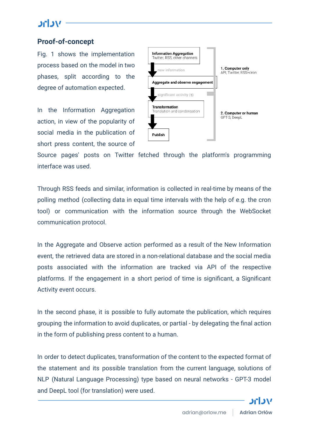### **Proof-of-concept**

Fig. 1 shows the implementation process based on the model in two phases, split according to the degree of automation expected.

In the Information Aggregation action, in view of the popularity of social media in the publication of short press content, the source of



Source pages' posts on Twitter fetched through the platform's programming interface was used.

Through RSS feeds and similar, information is collected in real-time by means of the polling method (collecting data in equal time intervals with the help of e.g. the cron tool) or communication with the information source through the WebSocket communication protocol.

In the Aggregate and Observe action performed as a result of the New Information event, the retrieved data are stored in a non-relational database and the social media posts associated with the information are tracked via API of the respective platforms. If the engagement in a short period of time is significant, a Significant Activity event occurs.

In the second phase, it is possible to fully automate the publication, which requires grouping the information to avoid duplicates, or partial - by delegating the final action in the form of publishing press content to a human.

In order to detect duplicates, transformation of the content to the expected format of the statement and its possible translation from the current language, solutions of NLP (Natural Language Processing) type based on neural networks - GPT-3 model and DeepL tool (for translation) were used.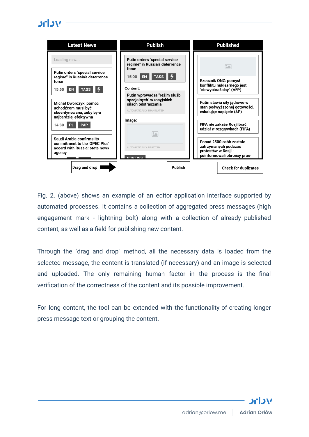

Fig. 2. (above) shows an example of an editor application interface supported by automated processes. It contains a collection of aggregated press messages (high engagement mark - lightning bolt) along with a collection of already published content, as well as a field for publishing new content.

Through the "drag and drop" method, all the necessary data is loaded from the selected message, the content is translated (if necessary) and an image is selected and uploaded. The only remaining human factor in the process is the final verification of the correctness of the content and its possible improvement.

For long content, the tool can be extended with the functionality of creating longer press message text or grouping the content.